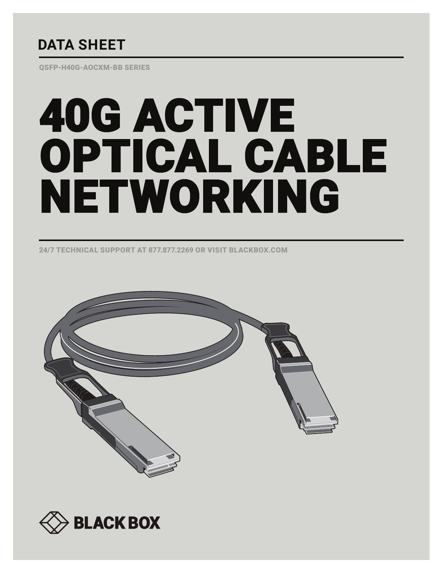## **DATA SHEET**

QSFP-H40G-AOCXM-BB SERIES

# 40G ACTIVE OPTICAL CABLE NETWORKING

24/7 TECHNICAL SUPPORT AT 877.877.2269 OR VISIT BLACKBOX.COM



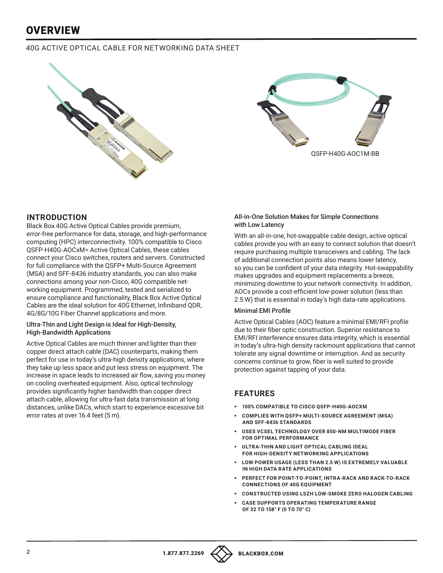## **OVERVIEW**

#### 40G ACTIVE OPTICAL CABLE FOR NETWORKING DATA SHEET





#### **INTRODUCTION**

Black Box 40G Active Optical Cables provide premium, error-free performance for data, storage, and high-performance computing (HPC) interconnectivity. 100% compatible to Cisco QSFP-H40G-AOCxM= Active Optical Cables, these cables connect your Cisco switches, routers and servers. Constructed for full compliance with the QSFP+ Multi-Source Agreement (MSA) and SFF-8436 industry standards, you can also make connections among your non-Cisco, 40G compatible networking equipment. Programmed, tested and serialized to ensure compliance and functionality, Black Box Active Optical Cables are the ideal solution for 40G Ethernet, Infiniband QDR, 4G/8G/10G Fiber Channel applications and more.

#### Ultra-Thin and Light Design is Ideal for High-Density, High-Bandwidth Applications

Active Optical Cables are much thinner and lighter than their copper direct attach cable (DAC) counterparts, making them perfect for use in today's ultra-high density applications, where they take up less space and put less stress on equipment. The increase in space leads to increased air flow, saving you money on cooling overheated equipment. Also, optical technology provides significantly higher bandwidth than copper direct attach cable, allowing for ultra-fast data transmission at long distances, unlike DACs, which start to experience excessive bit error rates at over 16.4 feet (5 m).

#### All-in-One Solution Makes for Simple Connections with Low Latency

With an all-in-one, hot-swappable cable design, active optical cables provide you with an easy to connect solution that doesn't require purchasing multiple transceivers and cabling. The lack of additional connection points also means lower latency, so you can be confident of your data integrity. Hot-swappability makes upgrades and equipment replacements a breeze, minimizing downtime to your network connectivity. In addition, AOCs provide a cost-efficient low-power solution (less than 2.5 W) that is essential in today's high data-rate applications.

#### Minimal EMI Profile

Active Optical Cables (AOC) feature a minimal EMI/RFI profile due to their fiber optic construction. Superior resistance to EMI/RFI interference ensures data integrity, which is essential in today's ultra-high density rackmount applications that cannot tolerate any signal downtime or interruption. And as security concerns continue to grow, fiber is well suited to provide protection against tapping of your data.

#### **FEATURES**

- § **100% COMPATIBLE TO CISCO QSFP-H40G-AOCXM**
- § **COMPLIES WITH QSFP+ MULTI-SOURCE AGREEMENT (MSA) AND SFF-8436 STANDARDS**
- § **USES VCSEL TECHNOLOGY OVER 850-NM MULTIMODE FIBER FOR OPTIMAL PERFORMANCE**
- § **ULTRA-THIN AND LIGHT OPTICAL CABLING IDEAL FOR HIGH-DENSITY NETWORKING APPLICATIONS**
- § **LOW POWER USAGE (LESS THAN 2.5 W) IS EXTREMELY VALUABLE IN HIGH DATA RATE APPLICATIONS**
- § **PERFECT FOR POINT-TO-POINT, INTRA-RACK AND RACK-TO-RACK CONNECTIONS OF 40G EQUIPMENT**
- § **CONSTRUCTED USING LSZH LOW-SMOKE ZERO HALOGEN CABLING**
- § **CASE SUPPORTS OPERATING TEMPERATURE RANGE OF 32 TO 158° F (0 TO 70° C)**



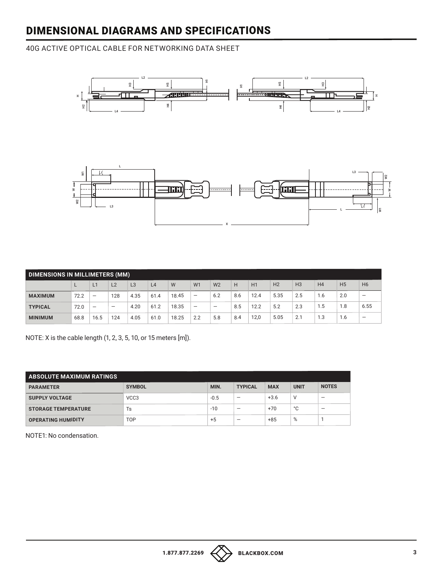## DIMENSIONAL DIAGRAMS AND SPECIFICATIONS

#### 40G ACTIVE OPTICAL CABLE FOR NETWORKING DATA SHEET



| <b>DIMENSIONS IN MILLIMETERS (MM)</b> |      |      |     |      |      |       |                          |                |     |      |                |                |                |                |                |
|---------------------------------------|------|------|-----|------|------|-------|--------------------------|----------------|-----|------|----------------|----------------|----------------|----------------|----------------|
|                                       |      | L1   | L2  | L3   | L4   | W     | W <sub>1</sub>           | W <sub>2</sub> | н   | H1   | H <sub>2</sub> | H <sub>3</sub> | H <sub>4</sub> | H <sub>5</sub> | H <sub>6</sub> |
| <b>MAXIMUM</b>                        | 72.2 |      | 128 | 4.35 | 61.4 | 18.45 | $\overline{\phantom{0}}$ | 6.2            | 8.6 | 12.4 | 5.35           | 2.5            | 1.6            | 2.0            |                |
| <b>TYPICAL</b>                        | 72.0 |      |     | 4.20 | 61.2 | 18.35 |                          |                | 8.5 | 12.2 | 5.2            | 2.3            | 1.5            | 1.8            | 6.55           |
| <b>MINIMUM</b>                        | 68.8 | 16.5 | 124 | 4.05 | 61.0 | 18.25 | 2.2                      | 5.8            | 8.4 | 12,0 | 5.05           | 2.1            | 1.3            | 1.6            |                |

NOTE: X is the cable length (1, 2, 3, 5, 10, or 15 meters [m]).

| ABSOLUTE MAXIMUM RATINGS   |                  |        |                |            |             |              |  |
|----------------------------|------------------|--------|----------------|------------|-------------|--------------|--|
| <b>PARAMETER</b>           | <b>SYMBOL</b>    | MIN.   | <b>TYPICAL</b> | <b>MAX</b> | <b>UNIT</b> | <b>NOTES</b> |  |
| <b>SUPPLY VOLTAGE</b>      | VCC <sub>3</sub> | $-0.5$ |                | $+3.6$     | V           |              |  |
| <b>STORAGE TEMPERATURE</b> | Ts               | $-10$  |                | $+70$      | ۰c          |              |  |
| <b>OPERATING HUMIDITY</b>  | <b>TOP</b>       | $+5$   |                | $+85$      | %           |              |  |

NOTE1: No condensation.

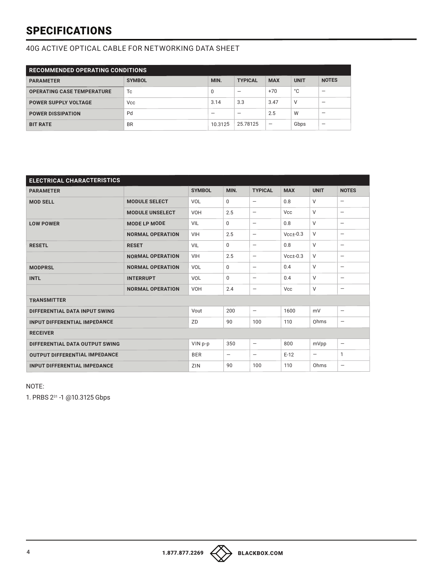#### 40G ACTIVE OPTICAL CABLE FOR NETWORKING DATA SHEET

| <b>RECOMMENDED OPERATING CONDITIONS</b> |               |          |                |            |             |              |  |
|-----------------------------------------|---------------|----------|----------------|------------|-------------|--------------|--|
| <b>PARAMETER</b>                        | <b>SYMBOL</b> | MIN.     | <b>TYPICAL</b> | <b>MAX</b> | <b>UNIT</b> | <b>NOTES</b> |  |
| <b>OPERATING CASE TEMPERATURE</b>       | Tc            | $\Omega$ |                | $+70$      | °С          |              |  |
| <b>POWER SUPPLY VOLTAGE</b>             | <b>Vcc</b>    | 3.14     | 3.3            | 3.47       | ν           |              |  |
| <b>POWER DISSIPATION</b>                | Pd            |          |                | 2.5        | W           |              |  |
| <b>BIT RATE</b>                         | <b>BR</b>     | 10.3125  | 25.78125       |            | Gbps        |              |  |

| <b>ELECTRICAL CHARACTERISTICS</b>    |                         |                          |                          |                                   |               |                                  |                                  |
|--------------------------------------|-------------------------|--------------------------|--------------------------|-----------------------------------|---------------|----------------------------------|----------------------------------|
| <b>PARAMETER</b>                     |                         | <b>SYMBOL</b>            | MIN.                     | <b>TYPICAL</b>                    | <b>MAX</b>    | <b>UNIT</b>                      | <b>NOTES</b>                     |
| <b>MOD SELL</b>                      | <b>MODULE SELECT</b>    | <b>VOL</b>               | 0                        | $\overbrace{\phantom{1232211}}$   | 0.8           | V                                | $\overline{\phantom{0}}$         |
|                                      | <b>MODULE UNSELECT</b>  | <b>VOH</b>               | 2.5                      | $\overbrace{\phantom{1232211}}$   | <b>Vcc</b>    | V                                | $\qquad \qquad -$                |
| <b>LOW POWER</b>                     | <b>MODE LP MODE</b>     | VIL                      | 0                        | $\overbrace{\phantom{123221111}}$ | 0.8           | $\vee$                           | $\overline{\phantom{m}}$         |
|                                      | <b>NORMAL OPERATION</b> | <b>VIH</b>               | 2.5                      | $\overline{\phantom{m}}$          | $Vcct-0.3$    | $\vee$                           | $\overline{\phantom{m}}$         |
| <b>RESETL</b>                        | <b>RESET</b>            | VIL                      | 0                        | $\overline{\phantom{m}}$          | 0.8           | V                                | $\overline{\phantom{m}}$         |
|                                      | <b>NORMAL OPERATION</b> | <b>VIH</b>               | 2.5                      | $\overline{\phantom{0}}$          | $Vcc \pm 0.3$ | V                                | $\overbrace{\phantom{1232211}}$  |
| <b>MODPRSL</b>                       | <b>NORMAL OPERATION</b> | VOL                      | 0                        | $\overbrace{\phantom{12322111}}$  | 0.4           | $\vee$                           | $\overbrace{\phantom{1232211}}$  |
| <b>INTL</b>                          | <b>INTERRUPT</b>        | <b>VOL</b>               | 0                        | $\overline{\phantom{m}}$          | 0.4           | V                                | $\overbrace{\phantom{1232211}}$  |
|                                      | <b>NORMAL OPERATION</b> | VOH                      | 2.4                      | $\overline{\phantom{m}}$          | <b>Vcc</b>    | $\vee$                           |                                  |
| <b>TRANSMITTER</b>                   |                         |                          |                          |                                   |               |                                  |                                  |
| DIFFERENTIAL DATA INPUT SWING        |                         | Vout                     | 200                      | $\overline{\phantom{m}}$          | 1600          | mV                               | $\overline{\phantom{0}}$         |
| <b>INPUT DIFFERENTIAL IMPEDANCE</b>  | ZD                      | 90                       | 100                      | 110                               | Ohms          | $\qquad \qquad -$                |                                  |
| <b>RECEIVER</b>                      |                         |                          |                          |                                   |               |                                  |                                  |
| DIFFERENTIAL DATA OUTPUT SWING       | VIN p-p                 | 350                      | $\overline{\phantom{m}}$ | 800                               | mVpp          | $\overbrace{\phantom{12322111}}$ |                                  |
| <b>OUTPUT DIFFERENTIAL IMPEDANCE</b> | <b>BER</b>              | $\overline{\phantom{m}}$ | $\overline{\phantom{m}}$ | $E-12$                            |               | $\mathbf{1}$                     |                                  |
| <b>INPUT DIFFERENTIAL IMPEDANCE</b>  |                         | ZIN                      | 90                       | 100                               | 110           | Ohms                             | $\overbrace{\phantom{12322111}}$ |

NOTE:

1. PRBS 231 -1 @10.3125 Gbps

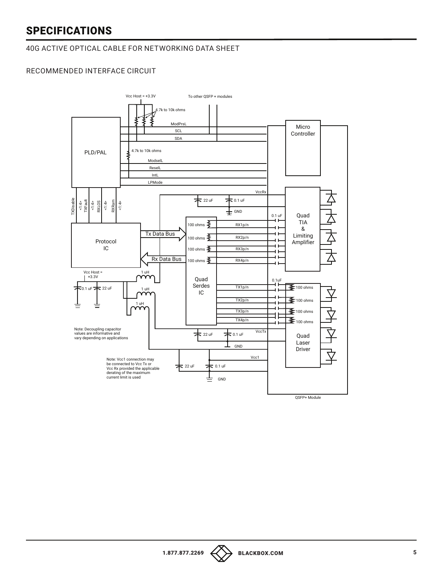40G ACTIVE OPTICAL CABLE FOR NETWORKING DATA SHEET

#### RECOMMENDED INTERFACE CIRCUIT



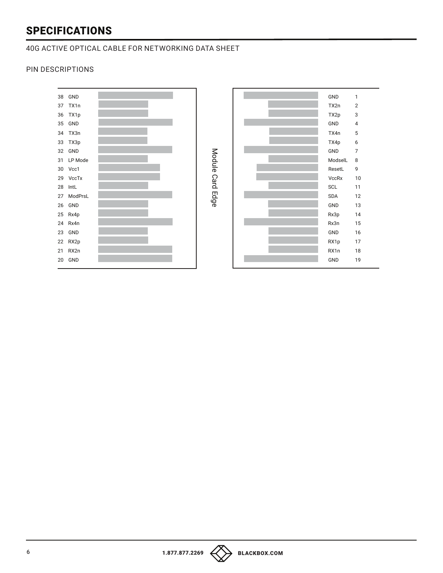#### 40G ACTIVE OPTICAL CABLE FOR NETWORKING DATA SHEET

#### PIN DESCRIPTIONS



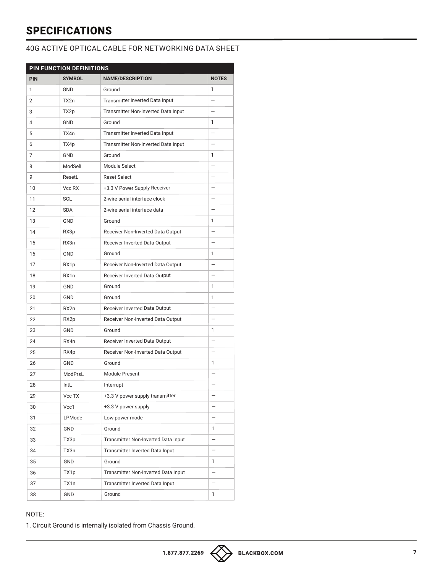#### 40G ACTIVE OPTICAL CABLE FOR NETWORKING DATA SHEET

| <b>PIN</b><br><b>SYMBOL</b><br><b>NOTES</b><br><b>NAME/DESCRIPTION</b><br>1<br>1<br>GND<br>Ground<br>Transmitter Inverted Data Input<br>$\overline{2}$<br>TX2n<br>Transmitter Non-Inverted Data Input<br>3<br>TX2p<br>1<br>GND<br>Ground<br>4<br>Transmitter Inverted Data Input<br>5<br>TX4n<br>Transmitter Non-Inverted Data Input<br>6<br>TX4p<br>1<br>Ground<br>7<br>GND<br>Module Select<br>ModSelL<br>8<br>9<br>ResetL<br><b>Reset Select</b><br>Vcc RX<br>+3.3 V Power Supply Receiver<br>10<br>2-wire serial interface clock<br><b>SCL</b><br>11<br>2-wire serial interface data<br><b>SDA</b><br>12<br>13<br>GND<br>Ground<br>1<br>14<br>Receiver Non-Inverted Data Output<br>RX3p<br>15<br>RX3n<br>Receiver Inverted Data Output<br>1<br>16<br><b>GND</b><br>Ground<br>Receiver Non-Inverted Data Output<br>17<br>RX1 <sub>p</sub><br>$\overline{\phantom{0}}$<br>Receiver Inverted Data Output<br>18<br>RX1n<br>$\mathbf{1}$<br>19<br>Ground<br>GND<br>1<br>GND<br>Ground<br>20<br>Receiver Inverted Data Output<br>21<br>RX2n<br>$\overline{\phantom{0}}$<br>Receiver Non-Inverted Data Output<br>22<br>RX <sub>2</sub> p<br>1<br>Ground<br>23<br>GND<br>Receiver Inverted Data Output<br>24<br>RX4n<br>25<br>Receiver Non-Inverted Data Output<br>RX4p<br>1<br>26<br>GND<br>Ground<br><b>Module Present</b><br>27<br>ModPrsL<br>28<br>IntL<br>Interrupt<br>Vcc TX<br>+3.3 V power supply transmitter<br>29<br>+3.3 V power supply<br>30<br>Vcc1<br>$\overline{\phantom{0}}$<br>31<br>LPMode<br>Low power mode<br>1<br>GND<br>Ground<br>32<br>Transmitter Non-Inverted Data Input<br>33<br>TX3p<br>Transmitter Inverted Data Input<br>$\overline{\phantom{0}}$<br>34<br>TX3n<br>1<br>Ground<br>35<br>GND<br>Transmitter Non-Inverted Data Input<br>36<br>TX1p<br>Transmitter Inverted Data Input<br>37<br>TX1n<br>1<br>38<br>GND<br>Ground | PIN FUNCTION DEFINITIONS |  |  |  |  |  |
|--------------------------------------------------------------------------------------------------------------------------------------------------------------------------------------------------------------------------------------------------------------------------------------------------------------------------------------------------------------------------------------------------------------------------------------------------------------------------------------------------------------------------------------------------------------------------------------------------------------------------------------------------------------------------------------------------------------------------------------------------------------------------------------------------------------------------------------------------------------------------------------------------------------------------------------------------------------------------------------------------------------------------------------------------------------------------------------------------------------------------------------------------------------------------------------------------------------------------------------------------------------------------------------------------------------------------------------------------------------------------------------------------------------------------------------------------------------------------------------------------------------------------------------------------------------------------------------------------------------------------------------------------------------------------------------------------------------------------------------------------------------------------------------------------------------------------------------------------------|--------------------------|--|--|--|--|--|
|                                                                                                                                                                                                                                                                                                                                                                                                                                                                                                                                                                                                                                                                                                                                                                                                                                                                                                                                                                                                                                                                                                                                                                                                                                                                                                                                                                                                                                                                                                                                                                                                                                                                                                                                                                                                                                                        |                          |  |  |  |  |  |
|                                                                                                                                                                                                                                                                                                                                                                                                                                                                                                                                                                                                                                                                                                                                                                                                                                                                                                                                                                                                                                                                                                                                                                                                                                                                                                                                                                                                                                                                                                                                                                                                                                                                                                                                                                                                                                                        |                          |  |  |  |  |  |
|                                                                                                                                                                                                                                                                                                                                                                                                                                                                                                                                                                                                                                                                                                                                                                                                                                                                                                                                                                                                                                                                                                                                                                                                                                                                                                                                                                                                                                                                                                                                                                                                                                                                                                                                                                                                                                                        |                          |  |  |  |  |  |
|                                                                                                                                                                                                                                                                                                                                                                                                                                                                                                                                                                                                                                                                                                                                                                                                                                                                                                                                                                                                                                                                                                                                                                                                                                                                                                                                                                                                                                                                                                                                                                                                                                                                                                                                                                                                                                                        |                          |  |  |  |  |  |
|                                                                                                                                                                                                                                                                                                                                                                                                                                                                                                                                                                                                                                                                                                                                                                                                                                                                                                                                                                                                                                                                                                                                                                                                                                                                                                                                                                                                                                                                                                                                                                                                                                                                                                                                                                                                                                                        |                          |  |  |  |  |  |
|                                                                                                                                                                                                                                                                                                                                                                                                                                                                                                                                                                                                                                                                                                                                                                                                                                                                                                                                                                                                                                                                                                                                                                                                                                                                                                                                                                                                                                                                                                                                                                                                                                                                                                                                                                                                                                                        |                          |  |  |  |  |  |
|                                                                                                                                                                                                                                                                                                                                                                                                                                                                                                                                                                                                                                                                                                                                                                                                                                                                                                                                                                                                                                                                                                                                                                                                                                                                                                                                                                                                                                                                                                                                                                                                                                                                                                                                                                                                                                                        |                          |  |  |  |  |  |
|                                                                                                                                                                                                                                                                                                                                                                                                                                                                                                                                                                                                                                                                                                                                                                                                                                                                                                                                                                                                                                                                                                                                                                                                                                                                                                                                                                                                                                                                                                                                                                                                                                                                                                                                                                                                                                                        |                          |  |  |  |  |  |
|                                                                                                                                                                                                                                                                                                                                                                                                                                                                                                                                                                                                                                                                                                                                                                                                                                                                                                                                                                                                                                                                                                                                                                                                                                                                                                                                                                                                                                                                                                                                                                                                                                                                                                                                                                                                                                                        |                          |  |  |  |  |  |
|                                                                                                                                                                                                                                                                                                                                                                                                                                                                                                                                                                                                                                                                                                                                                                                                                                                                                                                                                                                                                                                                                                                                                                                                                                                                                                                                                                                                                                                                                                                                                                                                                                                                                                                                                                                                                                                        |                          |  |  |  |  |  |
|                                                                                                                                                                                                                                                                                                                                                                                                                                                                                                                                                                                                                                                                                                                                                                                                                                                                                                                                                                                                                                                                                                                                                                                                                                                                                                                                                                                                                                                                                                                                                                                                                                                                                                                                                                                                                                                        |                          |  |  |  |  |  |
|                                                                                                                                                                                                                                                                                                                                                                                                                                                                                                                                                                                                                                                                                                                                                                                                                                                                                                                                                                                                                                                                                                                                                                                                                                                                                                                                                                                                                                                                                                                                                                                                                                                                                                                                                                                                                                                        |                          |  |  |  |  |  |
|                                                                                                                                                                                                                                                                                                                                                                                                                                                                                                                                                                                                                                                                                                                                                                                                                                                                                                                                                                                                                                                                                                                                                                                                                                                                                                                                                                                                                                                                                                                                                                                                                                                                                                                                                                                                                                                        |                          |  |  |  |  |  |
|                                                                                                                                                                                                                                                                                                                                                                                                                                                                                                                                                                                                                                                                                                                                                                                                                                                                                                                                                                                                                                                                                                                                                                                                                                                                                                                                                                                                                                                                                                                                                                                                                                                                                                                                                                                                                                                        |                          |  |  |  |  |  |
|                                                                                                                                                                                                                                                                                                                                                                                                                                                                                                                                                                                                                                                                                                                                                                                                                                                                                                                                                                                                                                                                                                                                                                                                                                                                                                                                                                                                                                                                                                                                                                                                                                                                                                                                                                                                                                                        |                          |  |  |  |  |  |
|                                                                                                                                                                                                                                                                                                                                                                                                                                                                                                                                                                                                                                                                                                                                                                                                                                                                                                                                                                                                                                                                                                                                                                                                                                                                                                                                                                                                                                                                                                                                                                                                                                                                                                                                                                                                                                                        |                          |  |  |  |  |  |
|                                                                                                                                                                                                                                                                                                                                                                                                                                                                                                                                                                                                                                                                                                                                                                                                                                                                                                                                                                                                                                                                                                                                                                                                                                                                                                                                                                                                                                                                                                                                                                                                                                                                                                                                                                                                                                                        |                          |  |  |  |  |  |
|                                                                                                                                                                                                                                                                                                                                                                                                                                                                                                                                                                                                                                                                                                                                                                                                                                                                                                                                                                                                                                                                                                                                                                                                                                                                                                                                                                                                                                                                                                                                                                                                                                                                                                                                                                                                                                                        |                          |  |  |  |  |  |
|                                                                                                                                                                                                                                                                                                                                                                                                                                                                                                                                                                                                                                                                                                                                                                                                                                                                                                                                                                                                                                                                                                                                                                                                                                                                                                                                                                                                                                                                                                                                                                                                                                                                                                                                                                                                                                                        |                          |  |  |  |  |  |
|                                                                                                                                                                                                                                                                                                                                                                                                                                                                                                                                                                                                                                                                                                                                                                                                                                                                                                                                                                                                                                                                                                                                                                                                                                                                                                                                                                                                                                                                                                                                                                                                                                                                                                                                                                                                                                                        |                          |  |  |  |  |  |
|                                                                                                                                                                                                                                                                                                                                                                                                                                                                                                                                                                                                                                                                                                                                                                                                                                                                                                                                                                                                                                                                                                                                                                                                                                                                                                                                                                                                                                                                                                                                                                                                                                                                                                                                                                                                                                                        |                          |  |  |  |  |  |
|                                                                                                                                                                                                                                                                                                                                                                                                                                                                                                                                                                                                                                                                                                                                                                                                                                                                                                                                                                                                                                                                                                                                                                                                                                                                                                                                                                                                                                                                                                                                                                                                                                                                                                                                                                                                                                                        |                          |  |  |  |  |  |
|                                                                                                                                                                                                                                                                                                                                                                                                                                                                                                                                                                                                                                                                                                                                                                                                                                                                                                                                                                                                                                                                                                                                                                                                                                                                                                                                                                                                                                                                                                                                                                                                                                                                                                                                                                                                                                                        |                          |  |  |  |  |  |
|                                                                                                                                                                                                                                                                                                                                                                                                                                                                                                                                                                                                                                                                                                                                                                                                                                                                                                                                                                                                                                                                                                                                                                                                                                                                                                                                                                                                                                                                                                                                                                                                                                                                                                                                                                                                                                                        |                          |  |  |  |  |  |
|                                                                                                                                                                                                                                                                                                                                                                                                                                                                                                                                                                                                                                                                                                                                                                                                                                                                                                                                                                                                                                                                                                                                                                                                                                                                                                                                                                                                                                                                                                                                                                                                                                                                                                                                                                                                                                                        |                          |  |  |  |  |  |
|                                                                                                                                                                                                                                                                                                                                                                                                                                                                                                                                                                                                                                                                                                                                                                                                                                                                                                                                                                                                                                                                                                                                                                                                                                                                                                                                                                                                                                                                                                                                                                                                                                                                                                                                                                                                                                                        |                          |  |  |  |  |  |
|                                                                                                                                                                                                                                                                                                                                                                                                                                                                                                                                                                                                                                                                                                                                                                                                                                                                                                                                                                                                                                                                                                                                                                                                                                                                                                                                                                                                                                                                                                                                                                                                                                                                                                                                                                                                                                                        |                          |  |  |  |  |  |
|                                                                                                                                                                                                                                                                                                                                                                                                                                                                                                                                                                                                                                                                                                                                                                                                                                                                                                                                                                                                                                                                                                                                                                                                                                                                                                                                                                                                                                                                                                                                                                                                                                                                                                                                                                                                                                                        |                          |  |  |  |  |  |
|                                                                                                                                                                                                                                                                                                                                                                                                                                                                                                                                                                                                                                                                                                                                                                                                                                                                                                                                                                                                                                                                                                                                                                                                                                                                                                                                                                                                                                                                                                                                                                                                                                                                                                                                                                                                                                                        |                          |  |  |  |  |  |
|                                                                                                                                                                                                                                                                                                                                                                                                                                                                                                                                                                                                                                                                                                                                                                                                                                                                                                                                                                                                                                                                                                                                                                                                                                                                                                                                                                                                                                                                                                                                                                                                                                                                                                                                                                                                                                                        |                          |  |  |  |  |  |
|                                                                                                                                                                                                                                                                                                                                                                                                                                                                                                                                                                                                                                                                                                                                                                                                                                                                                                                                                                                                                                                                                                                                                                                                                                                                                                                                                                                                                                                                                                                                                                                                                                                                                                                                                                                                                                                        |                          |  |  |  |  |  |
|                                                                                                                                                                                                                                                                                                                                                                                                                                                                                                                                                                                                                                                                                                                                                                                                                                                                                                                                                                                                                                                                                                                                                                                                                                                                                                                                                                                                                                                                                                                                                                                                                                                                                                                                                                                                                                                        |                          |  |  |  |  |  |
|                                                                                                                                                                                                                                                                                                                                                                                                                                                                                                                                                                                                                                                                                                                                                                                                                                                                                                                                                                                                                                                                                                                                                                                                                                                                                                                                                                                                                                                                                                                                                                                                                                                                                                                                                                                                                                                        |                          |  |  |  |  |  |
|                                                                                                                                                                                                                                                                                                                                                                                                                                                                                                                                                                                                                                                                                                                                                                                                                                                                                                                                                                                                                                                                                                                                                                                                                                                                                                                                                                                                                                                                                                                                                                                                                                                                                                                                                                                                                                                        |                          |  |  |  |  |  |
|                                                                                                                                                                                                                                                                                                                                                                                                                                                                                                                                                                                                                                                                                                                                                                                                                                                                                                                                                                                                                                                                                                                                                                                                                                                                                                                                                                                                                                                                                                                                                                                                                                                                                                                                                                                                                                                        |                          |  |  |  |  |  |
|                                                                                                                                                                                                                                                                                                                                                                                                                                                                                                                                                                                                                                                                                                                                                                                                                                                                                                                                                                                                                                                                                                                                                                                                                                                                                                                                                                                                                                                                                                                                                                                                                                                                                                                                                                                                                                                        |                          |  |  |  |  |  |
|                                                                                                                                                                                                                                                                                                                                                                                                                                                                                                                                                                                                                                                                                                                                                                                                                                                                                                                                                                                                                                                                                                                                                                                                                                                                                                                                                                                                                                                                                                                                                                                                                                                                                                                                                                                                                                                        |                          |  |  |  |  |  |
|                                                                                                                                                                                                                                                                                                                                                                                                                                                                                                                                                                                                                                                                                                                                                                                                                                                                                                                                                                                                                                                                                                                                                                                                                                                                                                                                                                                                                                                                                                                                                                                                                                                                                                                                                                                                                                                        |                          |  |  |  |  |  |
|                                                                                                                                                                                                                                                                                                                                                                                                                                                                                                                                                                                                                                                                                                                                                                                                                                                                                                                                                                                                                                                                                                                                                                                                                                                                                                                                                                                                                                                                                                                                                                                                                                                                                                                                                                                                                                                        |                          |  |  |  |  |  |

#### NOTE:

1. Circuit Ground is internally isolated from Chassis Ground.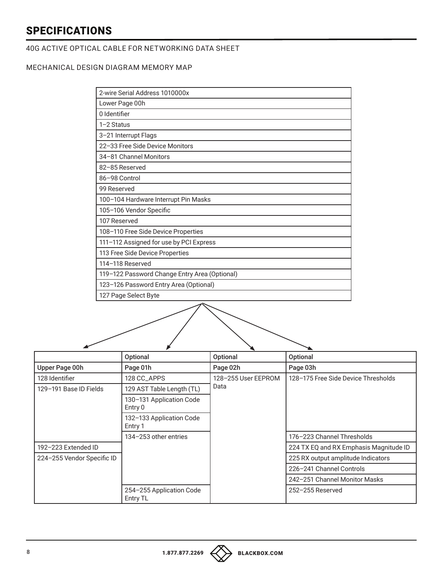#### 40G ACTIVE OPTICAL CABLE FOR NETWORKING DATA SHEET

#### MECHANICAL DESIGN DIAGRAM MEMORY MAP

| 2-wire Serial Address 1010000x                |
|-----------------------------------------------|
| Lower Page 00h                                |
| 0 Identifier                                  |
| 1-2 Status                                    |
| 3-21 Interrupt Flags                          |
| 22-33 Free Side Device Monitors               |
| 34-81 Channel Monitors                        |
| 82-85 Reserved                                |
| 86-98 Control                                 |
| 99 Reserved                                   |
| 100-104 Hardware Interrupt Pin Masks          |
| 105-106 Vendor Specific                       |
| 107 Reserved                                  |
| 108-110 Free Side Device Properties           |
| 111-112 Assigned for use by PCI Express       |
| 113 Free Side Device Properties               |
| 114-118 Reserved                              |
| 119-122 Password Change Entry Area (Optional) |
| 123-126 Password Entry Area (Optional)        |
| 127 Page Select Byte                          |



|                            | Optional                                    | Optional            | Optional                               |
|----------------------------|---------------------------------------------|---------------------|----------------------------------------|
| Upper Page 00h             | Page 01h                                    | Page 02h            | Page 03h                               |
| 128 Identifier             | 128 CC_APPS                                 | 128-255 User EEPROM | 128-175 Free Side Device Thresholds    |
| 129-191 Base ID Fields     | 129 AST Table Length (TL)                   | Data                |                                        |
|                            | 130-131 Application Code<br>Entry 0         |                     |                                        |
|                            | 132-133 Application Code<br>Entry 1         |                     |                                        |
|                            | 134-253 other entries                       |                     | 176-223 Channel Thresholds             |
| 192-223 Extended ID        |                                             |                     | 224 TX EQ and RX Emphasis Magnitude ID |
| 224-255 Vendor Specific ID |                                             |                     | 225 RX output amplitude Indicators     |
|                            |                                             |                     | 226-241 Channel Controls               |
|                            |                                             |                     | 242-251 Channel Monitor Masks          |
|                            | 254-255 Application Code<br><b>Entry TL</b> |                     | 252-255 Reserved                       |